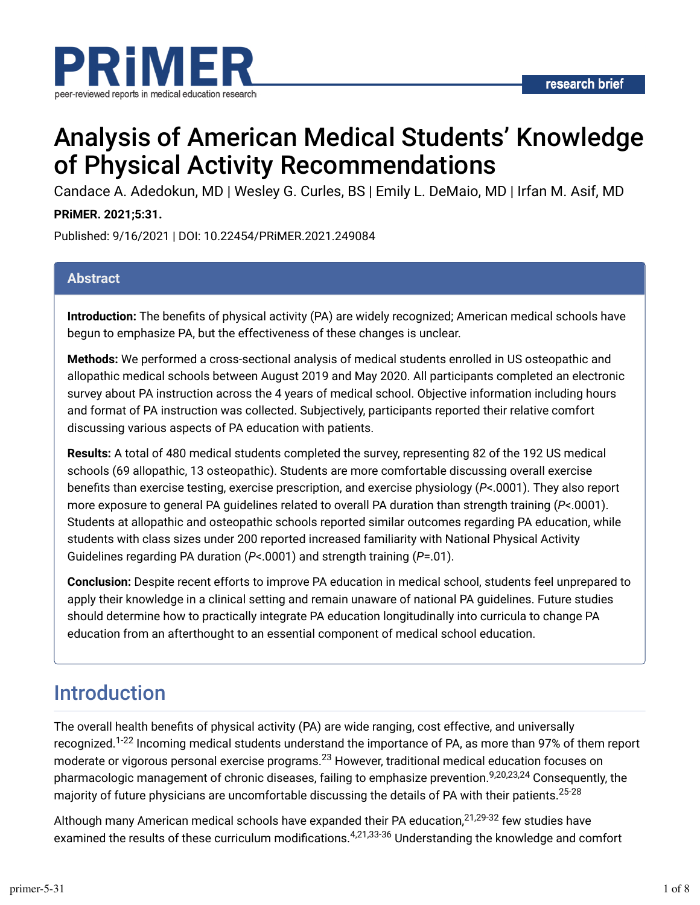

# Analysis of American Medical Students' Knowledge of Physical Activity Recommendations

Candace A. Adedokun, MD | Wesley G. Curles, BS | Emily L. DeMaio, MD | Irfan M. Asif, MD

#### **PRiMER. 2021;5:31.**

Published: 9/16/2021 | DOI: 10.22454/PRiMER.2021.249084

#### **Abstract**

**Introduction:** The benefits of physical activity (PA) are widely recognized; American medical schools have begun to emphasize PA, but the effectiveness of these changes is unclear.

**Methods:** We performed a cross-sectional analysis of medical students enrolled in US osteopathic and allopathic medical schools between August 2019 and May 2020. All participants completed an electronic survey about PA instruction across the 4 years of medical school. Objective information including hours and format of PA instruction was collected. Subjectively, participants reported their relative comfort discussing various aspects of PA education with patients.

**Results:** A total of 480 medical students completed the survey, representing 82 of the 192 US medical schools (69 allopathic, 13 osteopathic). Students are more comfortable discussing overall exercise benefits than exercise testing, exercise prescription, and exercise physiology (*P*<.0001). They also report more exposure to general PA guidelines related to overall PA duration than strength training (*P*<.0001). Students at allopathic and osteopathic schools reported similar outcomes regarding PA education, while students with class sizes under 200 reported increased familiarity with National Physical Activity Guidelines regarding PA duration (*P*<.0001) and strength training (*P*=.01).

**Conclusion:** Despite recent efforts to improve PA education in medical school, students feel unprepared to apply their knowledge in a clinical setting and remain unaware of national PA guidelines. Future studies should determine how to practically integrate PA education longitudinally into curricula to change PA education from an afterthought to an essential component of medical school education.

## Introduction

The overall health benefits of physical activity (PA) are wide ranging, cost effective, and universally recognized.<sup>1-22</sup> Incoming medical students understand the importance of PA, as more than 97% of them report moderate or vigorous personal exercise programs. $^{23}$  However, traditional medical education focuses on pharmacologic management of chronic diseases, failing to emphasize prevention.<sup>9,20,23,24</sup> Consequently, the majority of future physicians are uncomfortable discussing the details of PA with their patients. 25-28

Although many American medical schools have expanded their PA education,<sup>21,29-32</sup> few studies have examined the results of these curriculum modifications.<sup>4,21,33-36</sup> Understanding the knowledge and comfort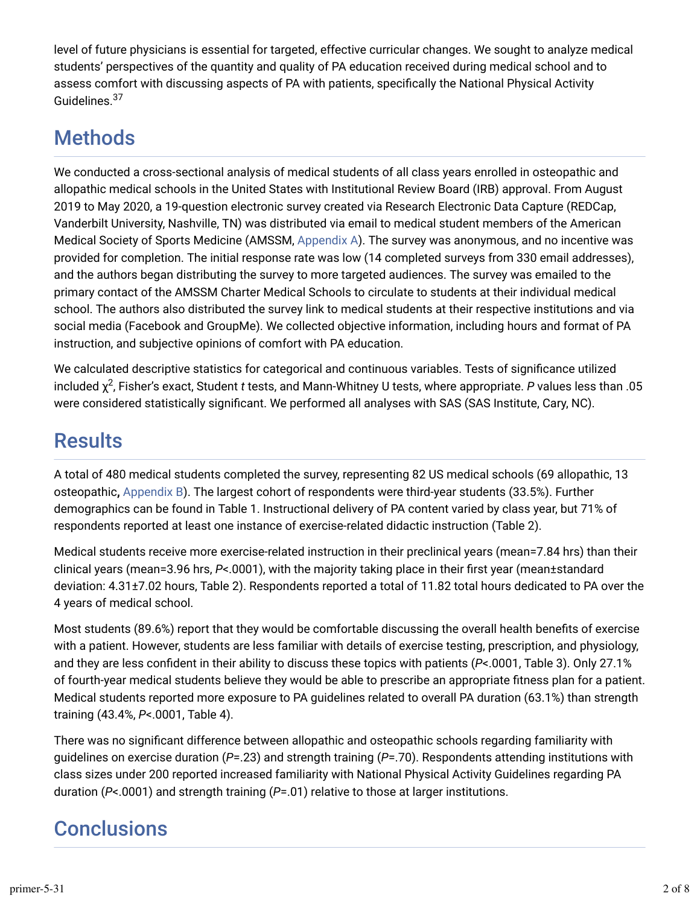level of future physicians is essential for targeted, effective curricular changes. We sought to analyze medical students' perspectives of the quantity and quality of PA education received during medical school and to assess comfort with discussing aspects of PA with patients, specifically the National Physical Activity Guidelines.<sup>37</sup>

## **Methods**

We conducted a cross-sectional analysis of medical students of all class years enrolled in osteopathic and allopathic medical schools in the United States with Institutional Review Board (IRB) approval. From August 2019 to May 2020, a 19-question electronic survey created via Research Electronic Data Capture (REDCap, Vanderbilt University, Nashville, TN) was distributed via email to medical student members of the American Medical Society of Sports Medicine (AMSSM, [Appendix A](https://journals.stfm.org/media/4309/curless-appendix-a-primer.pdf)). The survey was anonymous, and no incentive was provided for completion. The initial response rate was low (14 completed surveys from 330 email addresses), and the authors began distributing the survey to more targeted audiences. The survey was emailed to the primary contact of the AMSSM Charter Medical Schools to circulate to students at their individual medical school. The authors also distributed the survey link to medical students at their respective institutions and via social media (Facebook and GroupMe). We collected objective information, including hours and format of PA instruction, and subjective opinions of comfort with PA education.

We calculated descriptive statistics for categorical and continuous variables. Tests of significance utilized included  $\chi^2$ , Fisher's exact, Student *t* tests, and Mann-Whitney U tests, where appropriate. *P* values less than .05 were considered statistically significant. We performed all analyses with SAS (SAS Institute, Cary, NC).

## **Results**

A total of 480 medical students completed the survey, representing 82 US medical schools (69 allopathic, 13 osteopathic**,** [Appendix B](https://journals.stfm.org/media/4310/curless-appendix-b.pdf)). The largest cohort of respondents were third-year students (33.5%). Further demographics can be found in Table 1. Instructional delivery of PA content varied by class year, but 71% of respondents reported at least one instance of exercise-related didactic instruction (Table 2).

Medical students receive more exercise-related instruction in their preclinical years (mean=7.84 hrs) than their clinical years (mean=3.96 hrs, *P*<.0001), with the majority taking place in their first year (mean±standard deviation: 4.31±7.02 hours, Table 2). Respondents reported a total of 11.82 total hours dedicated to PA over the 4 years of medical school.

Most students (89.6%) report that they would be comfortable discussing the overall health benefits of exercise with a patient. However, students are less familiar with details of exercise testing, prescription, and physiology, and they are less confident in their ability to discuss these topics with patients (*P*<.0001, Table 3). Only 27.1% of fourth-year medical students believe they would be able to prescribe an appropriate fitness plan for a patient. Medical students reported more exposure to PA guidelines related to overall PA duration (63.1%) than strength training (43.4%, *P*<.0001, Table 4).

There was no significant difference between allopathic and osteopathic schools regarding familiarity with guidelines on exercise duration (*P*=.23) and strength training (*P*=.70). Respondents attending institutions with class sizes under 200 reported increased familiarity with National Physical Activity Guidelines regarding PA duration (*P*<.0001) and strength training (*P*=.01) relative to those at larger institutions.

## **Conclusions**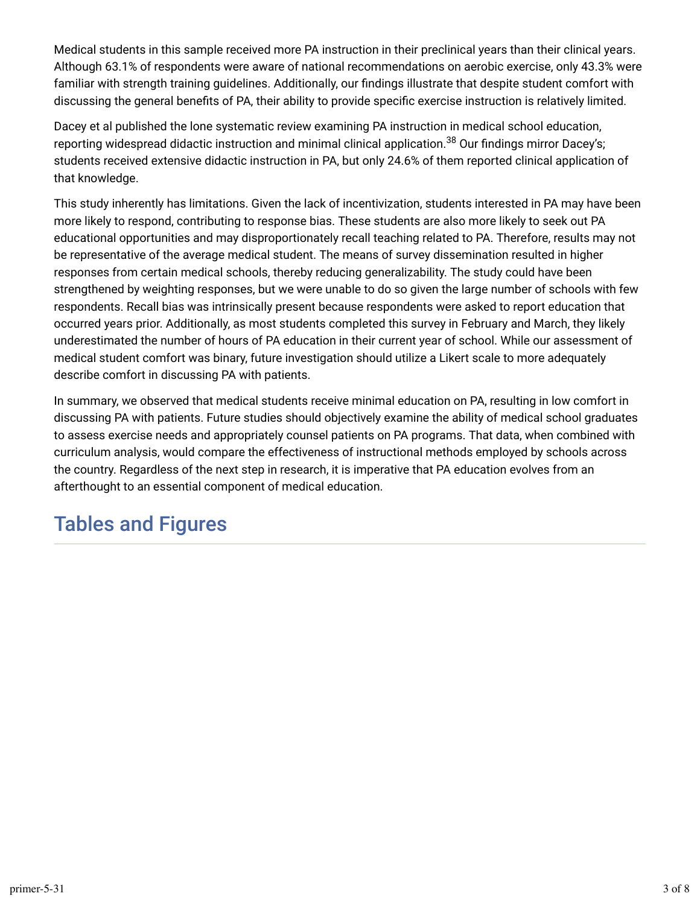Medical students in this sample received more PA instruction in their preclinical years than their clinical years. Although 63.1% of respondents were aware of national recommendations on aerobic exercise, only 43.3% were familiar with strength training guidelines. Additionally, our findings illustrate that despite student comfort with discussing the general benefits of PA, their ability to provide specific exercise instruction is relatively limited.

Dacey et al published the lone systematic review examining PA instruction in medical school education, reporting widespread didactic instruction and minimal clinical application.<sup>38</sup> Our findings mirror Dacey's; students received extensive didactic instruction in PA, but only 24.6% of them reported clinical application of that knowledge.

This study inherently has limitations. Given the lack of incentivization, students interested in PA may have been more likely to respond, contributing to response bias. These students are also more likely to seek out PA educational opportunities and may disproportionately recall teaching related to PA. Therefore, results may not be representative of the average medical student. The means of survey dissemination resulted in higher responses from certain medical schools, thereby reducing generalizability. The study could have been strengthened by weighting responses, but we were unable to do so given the large number of schools with few respondents. Recall bias was intrinsically present because respondents were asked to report education that occurred years prior. Additionally, as most students completed this survey in February and March, they likely underestimated the number of hours of PA education in their current year of school. While our assessment of medical student comfort was binary, future investigation should utilize a Likert scale to more adequately describe comfort in discussing PA with patients.

In summary, we observed that medical students receive minimal education on PA, resulting in low comfort in discussing PA with patients. Future studies should objectively examine the ability of medical school graduates to assess exercise needs and appropriately counsel patients on PA programs. That data, when combined with curriculum analysis, would compare the effectiveness of instructional methods employed by schools across the country. Regardless of the next step in research, it is imperative that PA education evolves from an afterthought to an essential component of medical education.

## Tables and Figures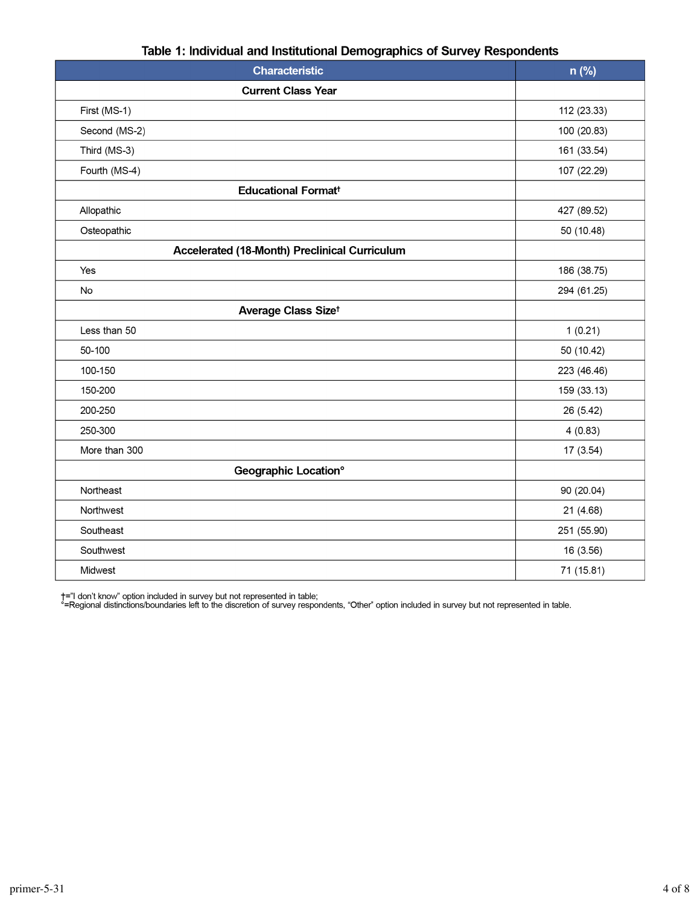| <b>Characteristic</b>                         | n (%)       |
|-----------------------------------------------|-------------|
| <b>Current Class Year</b>                     |             |
| First (MS-1)                                  | 112 (23.33) |
| Second (MS-2)                                 | 100 (20.83) |
| Third (MS-3)                                  | 161 (33.54) |
| Fourth (MS-4)                                 | 107 (22.29) |
| <b>Educational Format<sup>t</sup></b>         |             |
| Allopathic                                    | 427 (89.52) |
| Osteopathic                                   | 50 (10.48)  |
| Accelerated (18-Month) Preclinical Curriculum |             |
| Yes                                           | 186 (38.75) |
| No                                            | 294 (61.25) |
| Average Class Sizet                           |             |
| Less than 50                                  | 1(0.21)     |
| 50-100                                        | 50 (10.42)  |
| 100-150                                       | 223 (46.46) |
| 150-200                                       | 159 (33.13) |
| 200-250                                       | 26 (5.42)   |
| 250-300                                       | 4(0.83)     |
| More than 300                                 | 17 (3.54)   |
| <b>Geographic Location°</b>                   |             |
| Northeast                                     | 90 (20.04)  |
| Northwest                                     | 21 (4.68)   |
| Southeast                                     | 251 (55.90) |
| Southwest                                     | 16 (3.56)   |
| Midwest                                       | 71 (15.81)  |

#### Table 1: Individual and Institutional Demographics of Survey Respondents

†="I don't know" option included in survey but not represented in table;<br>°=Regional distinctions/boundaries left to the discretion of survey respondents, "Other" option included in survey but not represented in table.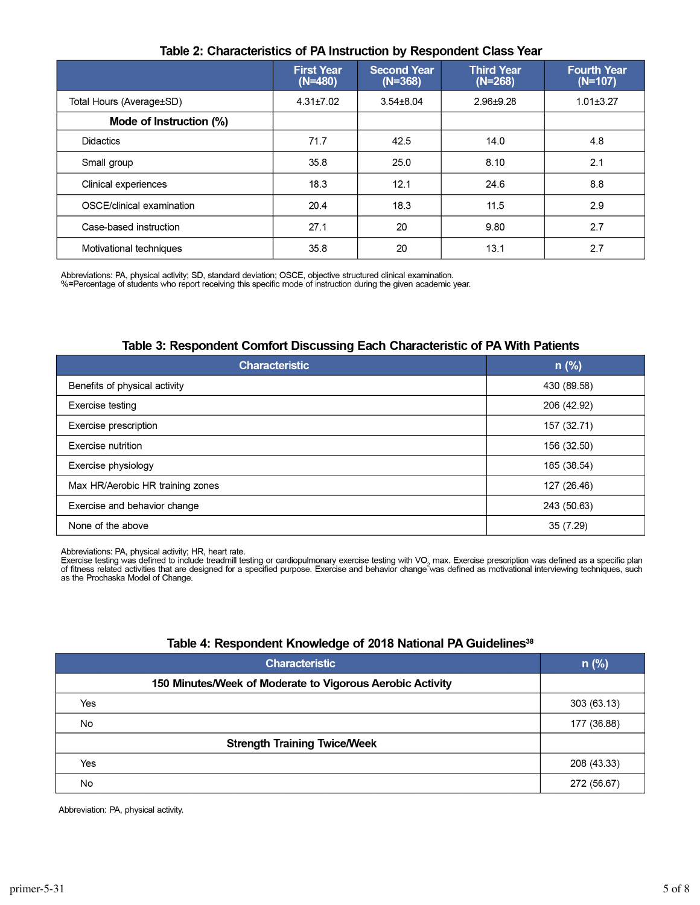|                           | <b>First Year</b><br>$(N=480)$ | <b>Second Year</b><br>$(N=368)$ | <b>Third Year</b><br>$(N=268)$ | <b>Fourth Year</b><br>$(N=107)$ |  |  |
|---------------------------|--------------------------------|---------------------------------|--------------------------------|---------------------------------|--|--|
| Total Hours (Average±SD)  | $4.31 \pm 7.02$                | $3.54 \pm 8.04$                 | 2.96±9.28                      | $1.01 \pm 3.27$                 |  |  |
| Mode of Instruction (%)   |                                |                                 |                                |                                 |  |  |
| <b>Didactics</b>          | 71.7                           | 42.5                            | 14.0                           | 4.8                             |  |  |
| Small group               | 35.8                           | 25.0                            | 8.10                           | 2.1                             |  |  |
| Clinical experiences      | 18.3                           | 12.1                            | 24.6                           | 8.8                             |  |  |
| OSCE/clinical examination | 20.4                           | 18.3                            | 11.5                           | 2.9                             |  |  |
| Case-based instruction    | 27.1                           | 20                              | 9.80                           | 2.7                             |  |  |
| Motivational techniques   | 35.8                           | 20                              | 13.1                           | 2.7                             |  |  |

#### Table 2: Characteristics of PA Instruction by Respondent Class Year

Abbreviations: PA, physical activity; SD, standard deviation; OSCE, objective structured clinical examination.<br>%=Percentage of students who report receiving this specific mode of instruction during the given academic year.

#### Table 3: Respondent Comfort Discussing Each Characteristic of PA With Patients

| <b>Characteristic</b>            | $n$ (%)     |
|----------------------------------|-------------|
| Benefits of physical activity    | 430 (89.58) |
| Exercise testing                 | 206 (42.92) |
| Exercise prescription            | 157 (32.71) |
| Exercise nutrition               | 156 (32.50) |
| Exercise physiology              | 185 (38.54) |
| Max HR/Aerobic HR training zones | 127 (26.46) |
| Exercise and behavior change     | 243 (50.63) |
| None of the above                | 35 (7.29)   |

Abbreviations: PA, physical activity; HR, heart rate.

Exercise testing was defined to include treadmill testing or cardiopulmonary exercise testing with VO<sub>2</sub> max. Exercise prescription was defined as a specific plan of fitness related activities that are designed for a specified purpose. Exercise and behavior change was defined as motivational interviewing techniques, such as the Prochaska Model of Change.

#### Table 4: Respondent Knowledge of 2018 National PA Guidelines<sup>38</sup>

|     | <b>Characteristic</b>                                     | $n$ (%)     |
|-----|-----------------------------------------------------------|-------------|
|     | 150 Minutes/Week of Moderate to Vigorous Aerobic Activity |             |
| Yes |                                                           | 303 (63.13) |
| No  |                                                           | 177 (36.88) |
|     |                                                           |             |
| Yes |                                                           | 208 (43.33) |
| No  |                                                           | 272 (56.67) |

Abbreviation: PA, physical activity.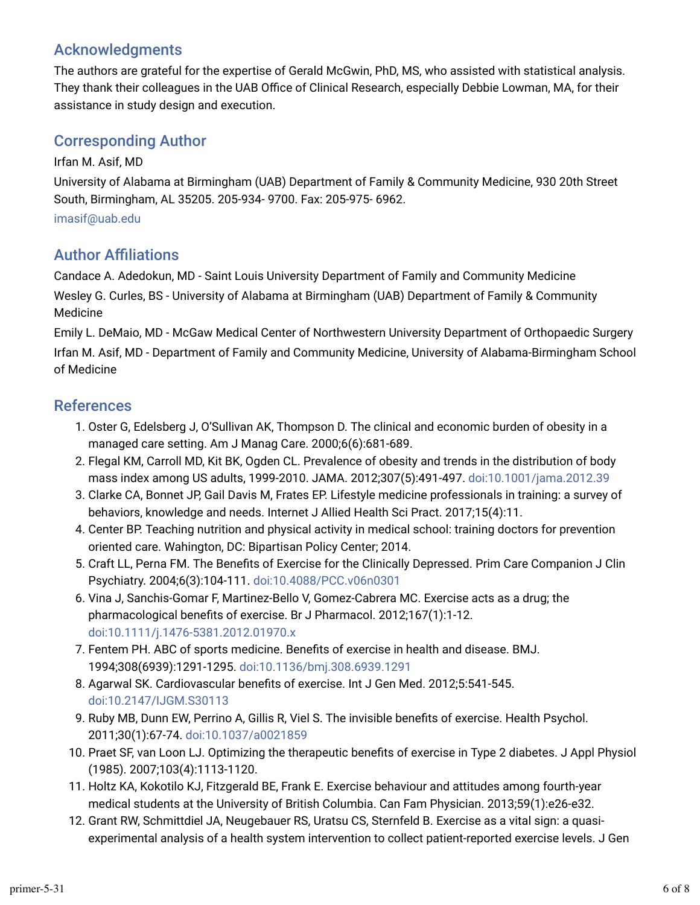### Acknowledgments

The authors are grateful for the expertise of Gerald McGwin, PhD, MS, who assisted with statistical analysis. They thank their colleagues in the UAB Office of Clinical Research, especially Debbie Lowman, MA, for their assistance in study design and execution.

### Corresponding Author

Irfan M. Asif, MD University of Alabama at Birmingham (UAB) Department of Family & Community Medicine, 930 20th Street South, Birmingham, AL 35205. 205-934- 9700. Fax: 205-975- 6962.

[imasif@uab.edu](mailto:imasif@uab.edu)

### **Author Affiliations**

Candace A. Adedokun, MD - Saint Louis University Department of Family and Community Medicine Wesley G. Curles, BS - University of Alabama at Birmingham (UAB) Department of Family & Community Medicine

Emily L. DeMaio, MD - McGaw Medical Center of Northwestern University Department of Orthopaedic Surgery Irfan M. Asif, MD - Department of Family and Community Medicine, University of Alabama-Birmingham School of Medicine

### References

- 1. Oster G, Edelsberg J, O'Sullivan AK, Thompson D. The clinical and economic burden of obesity in a managed care setting. Am J Manag Care. 2000;6(6):681-689.
- 2. Flegal KM, Carroll MD, Kit BK, Ogden CL. Prevalence of obesity and trends in the distribution of body mass index among US adults, 1999-2010. JAMA. 2012;307(5):491-497. [doi:10.1001/jama.2012.39](https://doi.org/10.1001/jama.2012.39)
- 3. Clarke CA, Bonnet JP, Gail Davis M, Frates EP. Lifestyle medicine professionals in training: a survey of behaviors, knowledge and needs. Internet J Allied Health Sci Pract. 2017;15(4):11.
- 4. Center BP. Teaching nutrition and physical activity in medical school: training doctors for prevention oriented care. Wahington, DC: Bipartisan Policy Center; 2014.
- 5. Craft LL, Perna FM. The Benefits of Exercise for the Clinically Depressed. Prim Care Companion J Clin Psychiatry. 2004;6(3):104-111. [doi:10.4088/PCC.v06n0301](https://doi.org/10.4088/PCC.v06n0301)
- o. Vina J, Sanchis-Gomar F, Martinez-Bello V, Gomez-Cabrera MC. Exercise acts as a drug; the pharmacological benefits of exercise. Br J Pharmacol. 2012;167(1):1-12. [doi:10.1111/j.1476-5381.2012.01970.x](https://doi.org/10.1111/j.1476-5381.2012.01970.x)
- 7. Fentem PH. ABC of sports medicine. Benefits of exercise in health and disease. BMJ. 1994;308(6939):1291-1295. [doi:10.1136/bmj.308.6939.1291](https://doi.org/10.1136/bmj.308.6939.1291)
- 8. Agarwal SK. Cardiovascular benefits of exercise. Int J Gen Med. 2012;5:541-545. [doi:10.2147/IJGM.S30113](https://doi.org/10.2147/IJGM.S30113)
- 9. Ruby MB, Dunn EW, Perrino A, Gillis R, Viel S. The invisible benefits of exercise. Health Psychol. 2011;30(1):67-74. [doi:10.1037/a0021859](https://doi.org/10.1037/a0021859)
- 10. Praet SF, van Loon LJ. Optimizing the therapeutic benefits of exercise in Type 2 diabetes. J Appl Physiol (1985). 2007;103(4):1113-1120.
- 11. Holtz KA, Kokotilo KJ, Fitzgerald BE, Frank E. Exercise behaviour and attitudes among fourth-year medical students at the University of British Columbia. Can Fam Physician. 2013;59(1):e26-e32.
- 12. Grant RW, Schmittdiel JA, Neugebauer RS, Uratsu CS, Sternfeld B. Exercise as a vital sign: a quasiexperimental analysis of a health system intervention to collect patient-reported exercise levels. J Gen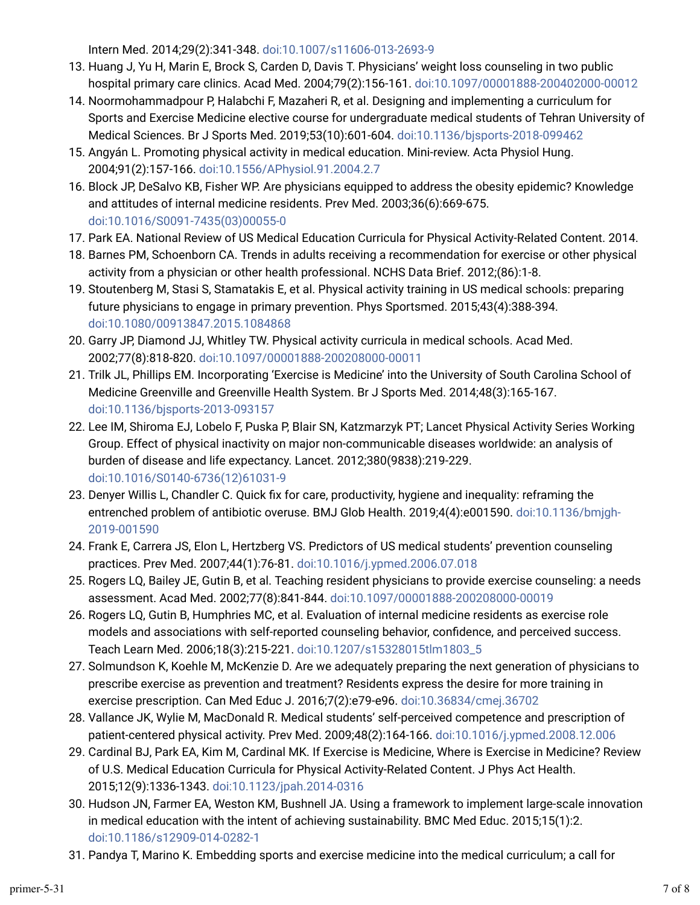Intern Med. 2014;29(2):341-348. [doi:10.1007/s11606-013-2693-9](https://doi.org/10.1007/s11606-013-2693-9)

- 13. Huang J, Yu H, Marin E, Brock S, Carden D, Davis T. Physicians' weight loss counseling in two public hospital primary care clinics. Acad Med. 2004;79(2):156-161. [doi:10.1097/00001888-200402000-00012](https://doi.org/10.1097/00001888-200402000-00012)
- 14. Noormohammadpour P, Halabchi F, Mazaheri R, et al. Designing and implementing a curriculum for Sports and Exercise Medicine elective course for undergraduate medical students of Tehran University of Medical Sciences. Br J Sports Med. 2019;53(10):601-604. [doi:10.1136/bjsports-2018-099462](https://doi.org/10.1136/bjsports-2018-099462)
- 15. Angyán L. Promoting physical activity in medical education. Mini-review. Acta Physiol Hung. 2004;91(2):157-166. [doi:10.1556/APhysiol.91.2004.2.7](https://doi.org/10.1556/APhysiol.91.2004.2.7)
- 1o. Block JP, DeSalvo KB, Fisher WP. Are physicians equipped to address the obesity epidemic? Knowledge and attitudes of internal medicine residents. Prev Med. 2003;36(6):669-675. [doi:10.1016/S0091-7435\(03\)00055-0](https://doi.org/10.1016/S0091-7435(03)00055-0)
- 17. Park EA. National Review of US Medical Education Curricula for Physical Activity-Related Content. 2014.
- 18. Barnes PM, Schoenborn CA. Trends in adults receiving a recommendation for exercise or other physical activity from a physician or other health professional. NCHS Data Brief. 2012;(86):1-8.
- 19. Stoutenberg M, Stasi S, Stamatakis E, et al. Physical activity training in US medical schools: preparing future physicians to engage in primary prevention. Phys Sportsmed. 2015;43(4):388-394. [doi:10.1080/00913847.2015.1084868](https://doi.org/10.1080/00913847.2015.1084868)
- 20. Garry JP, Diamond JJ, Whitley TW. Physical activity curricula in medical schools. Acad Med. 2002;77(8):818-820. [doi:10.1097/00001888-200208000-00011](https://doi.org/10.1097/00001888-200208000-00011)
- 21. Trilk JL, Phillips EM. Incorporating 'Exercise is Medicine' into the University of South Carolina School of Medicine Greenville and Greenville Health System. Br J Sports Med. 2014;48(3):165-167. [doi:10.1136/bjsports-2013-093157](https://doi.org/10.1136/bjsports-2013-093157)
- 22. Lee IM, Shiroma EJ, Lobelo F, Puska P, Blair SN, Katzmarzyk PT; Lancet Physical Activity Series Working Group. Effect of physical inactivity on major non-communicable diseases worldwide: an analysis of burden of disease and life expectancy. Lancet. 2012;380(9838):219-229. [doi:10.1016/S0140-6736\(12\)61031-9](https://doi.org/10.1016/S0140-6736(12)61031-9)
- 23. Denyer Willis L, Chandler C. Quick fix for care, productivity, hygiene and inequality: reframing the entrenched problem of antibiotic overuse. BMJ Glob Health. 2019;4(4):e001590. [doi:10.1136/bmjgh-](https://doi.org/10.1136/bmjgh-2019-001590)[2019-001590](https://doi.org/10.1136/bmjgh-2019-001590)
- 24. Frank E, Carrera JS, Elon L, Hertzberg VS. Predictors of US medical students' prevention counseling practices. Prev Med. 2007;44(1):76-81. [doi:10.1016/j.ypmed.2006.07.018](https://doi.org/10.1016/j.ypmed.2006.07.018)
- 25. Rogers LQ, Bailey JE, Gutin B, et al. Teaching resident physicians to provide exercise counseling: a needs assessment. Acad Med. 2002;77(8):841-844. [doi:10.1097/00001888-200208000-00019](https://doi.org/10.1097/00001888-200208000-00019)
- 26. Rogers LQ, Gutin B, Humphries MC, et al. Evaluation of internal medicine residents as exercise role models and associations with self-reported counseling behavior, confidence, and perceived success. Teach Learn Med. 2006;18(3):215-221. [doi:10.1207/s15328015tlm1803\\_5](https://doi.org/10.1207/s15328015tlm1803_5)
- 27. Solmundson K, Koehle M, McKenzie D. Are we adequately preparing the next generation of physicians to prescribe exercise as prevention and treatment? Residents express the desire for more training in exercise prescription. Can Med Educ J. 2016;7(2):e79-e96. [doi:10.36834/cmej.36702](https://doi.org/10.36834/cmej.36702)
- 28. Vallance JK, Wylie M, MacDonald R. Medical students' self-perceived competence and prescription of patient-centered physical activity. Prev Med. 2009;48(2):164-166. [doi:10.1016/j.ypmed.2008.12.006](https://doi.org/10.1016/j.ypmed.2008.12.006)
- 29. Cardinal BJ, Park EA, Kim M, Cardinal MK. If Exercise is Medicine, Where is Exercise in Medicine? Review of U.S. Medical Education Curricula for Physical Activity-Related Content. J Phys Act Health. 2015;12(9):1336-1343. [doi:10.1123/jpah.2014-0316](https://doi.org/10.1123/jpah.2014-0316)
- 30. Hudson JN, Farmer EA, Weston KM, Bushnell JA. Using a framework to implement large-scale innovation in medical education with the intent of achieving sustainability. BMC Med Educ. 2015;15(1):2. [doi:10.1186/s12909-014-0282-1](https://doi.org/10.1186/s12909-014-0282-1)
- 31. Pandya T, Marino K. Embedding sports and exercise medicine into the medical curriculum; a call for